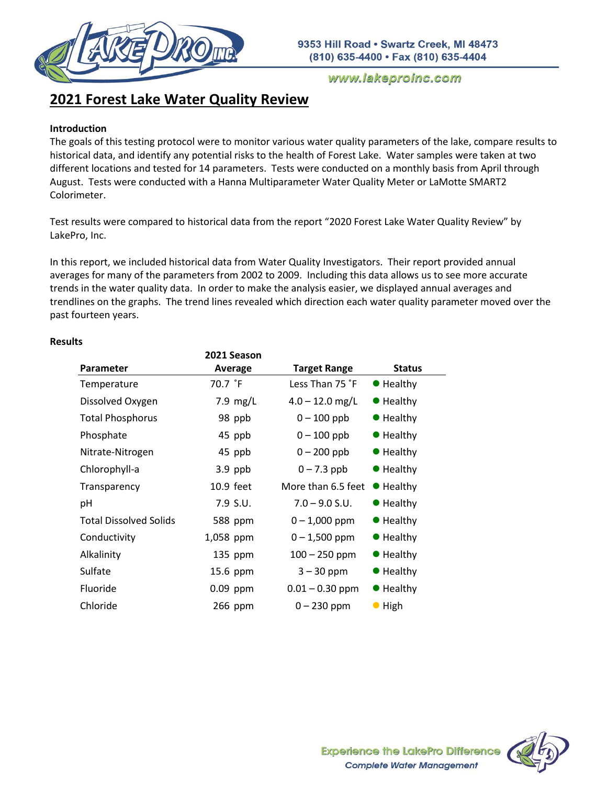

# **2021 Forest Lake Water Quality Review**

# **Introduction**

The goals of this testing protocol were to monitor various water quality parameters of the lake, compare results to historical data, and identify any potential risks to the health of Forest Lake. Water samples were taken at two different locations and tested for 14 parameters. Tests were conducted on a monthly basis from April through August. Tests were conducted with a Hanna Multiparameter Water Quality Meter or LaMotte SMART2 Colorimeter.

Test results were compared to historical data from the report "2020 Forest Lake Water Quality Review" by LakePro, Inc.

In this report, we included historical data from Water Quality Investigators. Their report provided annual averages for many of the parameters from 2002 to 2009. Including this data allows us to see more accurate trends in the water quality data. In order to make the analysis easier, we displayed annual averages and trendlines on the graphs. The trend lines revealed which direction each water quality parameter moved over the past fourteen years.

|                               | 2021 Season |                     |                   |
|-------------------------------|-------------|---------------------|-------------------|
| <b>Parameter</b>              | Average     | <b>Target Range</b> | <b>Status</b>     |
| Temperature                   | 70.7 °F     | Less Than 75 °F     | $\bullet$ Healthy |
| Dissolved Oxygen              | 7.9 $mg/L$  | $4.0 - 12.0$ mg/L   | $\bullet$ Healthy |
| <b>Total Phosphorus</b>       | 98 ppb      | $0 - 100$ ppb       | $\bullet$ Healthy |
| Phosphate                     | 45 ppb      | $0 - 100$ ppb       | $\bullet$ Healthy |
| Nitrate-Nitrogen              | 45 ppb      | $0 - 200$ ppb       | $\bullet$ Healthy |
| Chlorophyll-a                 | $3.9$ ppb   | $0 - 7.3$ ppb       | $\bullet$ Healthy |
| Transparency                  | 10.9 feet   | More than 6.5 feet  | $\bullet$ Healthy |
| pH                            | $7.9$ S.U.  | $7.0 - 9.0$ S.U.    | $\bullet$ Healthy |
| <b>Total Dissolved Solids</b> | 588 ppm     | $0 - 1,000$ ppm     | $\bullet$ Healthy |
| Conductivity                  | 1,058 ppm   | $0 - 1,500$ ppm     | $\bullet$ Healthy |
| Alkalinity                    | $135$ ppm   | $100 - 250$ ppm     | ● Healthy         |
| Sulfate                       | 15.6 ppm    | $3 - 30$ ppm        | $\bullet$ Healthy |
| <b>Fluoride</b>               | $0.09$ ppm  | $0.01 - 0.30$ ppm   | $\bullet$ Healthy |
| Chloride                      | 266 ppm     | $0 - 230$ ppm       | $\bullet$ High    |

# **Results**

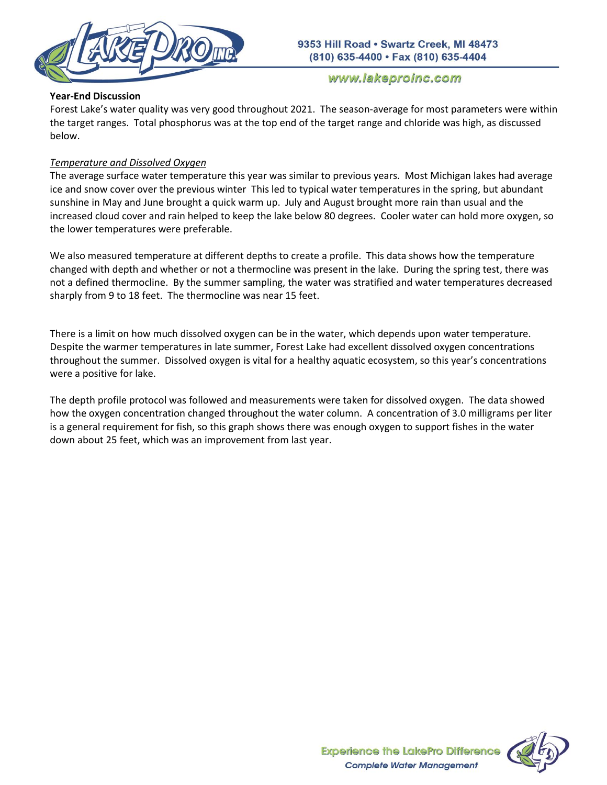

# **Year-End Discussion**

Forest Lake's water quality was very good throughout 2021. The season-average for most parameters were within the target ranges. Total phosphorus was at the top end of the target range and chloride was high, as discussed below.

# *Temperature and Dissolved Oxygen*

The average surface water temperature this year was similar to previous years. Most Michigan lakes had average ice and snow cover over the previous winter This led to typical water temperatures in the spring, but abundant sunshine in May and June brought a quick warm up. July and August brought more rain than usual and the increased cloud cover and rain helped to keep the lake below 80 degrees. Cooler water can hold more oxygen, so the lower temperatures were preferable.

We also measured temperature at different depths to create a profile. This data shows how the temperature changed with depth and whether or not a thermocline was present in the lake. During the spring test, there was not a defined thermocline. By the summer sampling, the water was stratified and water temperatures decreased sharply from 9 to 18 feet. The thermocline was near 15 feet.

There is a limit on how much dissolved oxygen can be in the water, which depends upon water temperature. Despite the warmer temperatures in late summer, Forest Lake had excellent dissolved oxygen concentrations throughout the summer. Dissolved oxygen is vital for a healthy aquatic ecosystem, so this year's concentrations were a positive for lake.

The depth profile protocol was followed and measurements were taken for dissolved oxygen. The data showed how the oxygen concentration changed throughout the water column. A concentration of 3.0 milligrams per liter is a general requirement for fish, so this graph shows there was enough oxygen to support fishes in the water down about 25 feet, which was an improvement from last year.

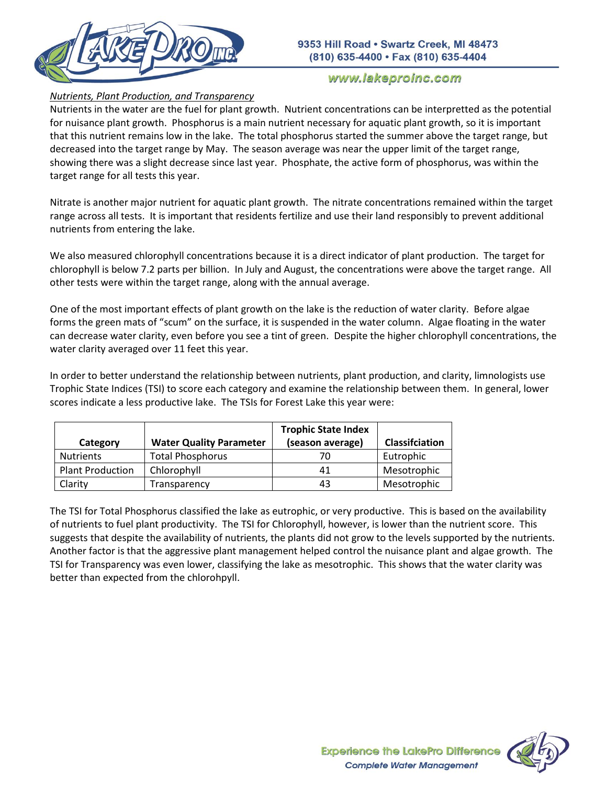

# *Nutrients, Plant Production, and Transparency*

Nutrients in the water are the fuel for plant growth. Nutrient concentrations can be interpretted as the potential for nuisance plant growth. Phosphorus is a main nutrient necessary for aquatic plant growth, so it is important that this nutrient remains low in the lake. The total phosphorus started the summer above the target range, but decreased into the target range by May. The season average was near the upper limit of the target range, showing there was a slight decrease since last year. Phosphate, the active form of phosphorus, was within the target range for all tests this year.

Nitrate is another major nutrient for aquatic plant growth. The nitrate concentrations remained within the target range across all tests. It is important that residents fertilize and use their land responsibly to prevent additional nutrients from entering the lake.

We also measured chlorophyll concentrations because it is a direct indicator of plant production. The target for chlorophyll is below 7.2 parts per billion. In July and August, the concentrations were above the target range. All other tests were within the target range, along with the annual average.

One of the most important effects of plant growth on the lake is the reduction of water clarity. Before algae forms the green mats of "scum" on the surface, it is suspended in the water column. Algae floating in the water can decrease water clarity, even before you see a tint of green. Despite the higher chlorophyll concentrations, the water clarity averaged over 11 feet this year.

In order to better understand the relationship between nutrients, plant production, and clarity, limnologists use Trophic State Indices (TSI) to score each category and examine the relationship between them. In general, lower scores indicate a less productive lake. The TSIs for Forest Lake this year were:

| Category                | <b>Water Quality Parameter</b> | <b>Trophic State Index</b><br>(season average) | Classifciation |
|-------------------------|--------------------------------|------------------------------------------------|----------------|
| <b>Nutrients</b>        | <b>Total Phosphorus</b>        | 70                                             | Eutrophic      |
| <b>Plant Production</b> | Chlorophyll                    | 41                                             | Mesotrophic    |
| Clarity                 | Transparency                   | 43                                             | Mesotrophic    |

The TSI for Total Phosphorus classified the lake as eutrophic, or very productive. This is based on the availability of nutrients to fuel plant productivity. The TSI for Chlorophyll, however, is lower than the nutrient score. This suggests that despite the availability of nutrients, the plants did not grow to the levels supported by the nutrients. Another factor is that the aggressive plant management helped control the nuisance plant and algae growth. The TSI for Transparency was even lower, classifying the lake as mesotrophic. This shows that the water clarity was better than expected from the chlorohpyll.

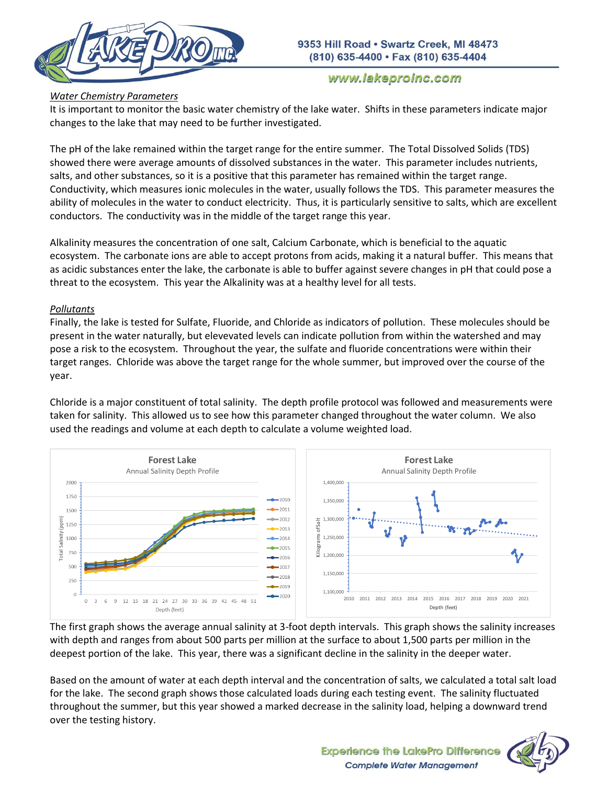

# *Water Chemistry Parameters*

It is important to monitor the basic water chemistry of the lake water. Shifts in these parameters indicate major changes to the lake that may need to be further investigated.

The pH of the lake remained within the target range for the entire summer. The Total Dissolved Solids (TDS) showed there were average amounts of dissolved substances in the water. This parameter includes nutrients, salts, and other substances, so it is a positive that this parameter has remained within the target range. Conductivity, which measures ionic molecules in the water, usually follows the TDS. This parameter measures the ability of molecules in the water to conduct electricity. Thus, it is particularly sensitive to salts, which are excellent conductors. The conductivity was in the middle of the target range this year.

Alkalinity measures the concentration of one salt, Calcium Carbonate, which is beneficial to the aquatic ecosystem. The carbonate ions are able to accept protons from acids, making it a natural buffer. This means that as acidic substances enter the lake, the carbonate is able to buffer against severe changes in pH that could pose a threat to the ecosystem. This year the Alkalinity was at a healthy level for all tests.

# *Pollutants*

Finally, the lake is tested for Sulfate, Fluoride, and Chloride as indicators of pollution. These molecules should be present in the water naturally, but elevevated levels can indicate pollution from within the watershed and may pose a risk to the ecosystem. Throughout the year, the sulfate and fluoride concentrations were within their target ranges. Chloride was above the target range for the whole summer, but improved over the course of the year.

Chloride is a major constituent of total salinity. The depth profile protocol was followed and measurements were taken for salinity. This allowed us to see how this parameter changed throughout the water column. We also used the readings and volume at each depth to calculate a volume weighted load.



The first graph shows the average annual salinity at 3-foot depth intervals. This graph shows the salinity increases with depth and ranges from about 500 parts per million at the surface to about 1,500 parts per million in the deepest portion of the lake. This year, there was a significant decline in the salinity in the deeper water.

Based on the amount of water at each depth interval and the concentration of salts, we calculated a total salt load for the lake. The second graph shows those calculated loads during each testing event. The salinity fluctuated throughout the summer, but this year showed a marked decrease in the salinity load, helping a downward trend over the testing history.

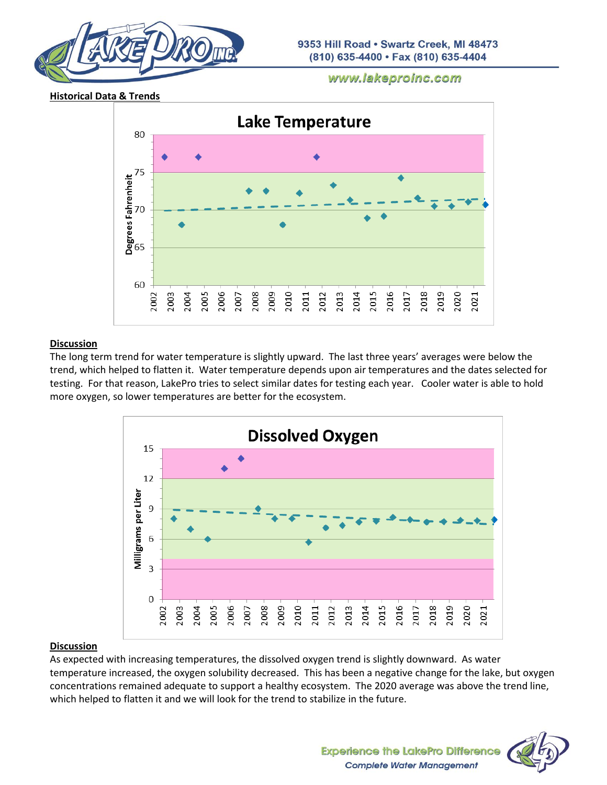





# **Discussion**

The long term trend for water temperature is slightly upward. The last three years' averages were below the trend, which helped to flatten it. Water temperature depends upon air temperatures and the dates selected for testing. For that reason, LakePro tries to select similar dates for testing each year. Cooler water is able to hold more oxygen, so lower temperatures are better for the ecosystem.



# **Discussion**

As expected with increasing temperatures, the dissolved oxygen trend is slightly downward. As water temperature increased, the oxygen solubility decreased. This has been a negative change for the lake, but oxygen concentrations remained adequate to support a healthy ecosystem. The 2020 average was above the trend line, which helped to flatten it and we will look for the trend to stabilize in the future.

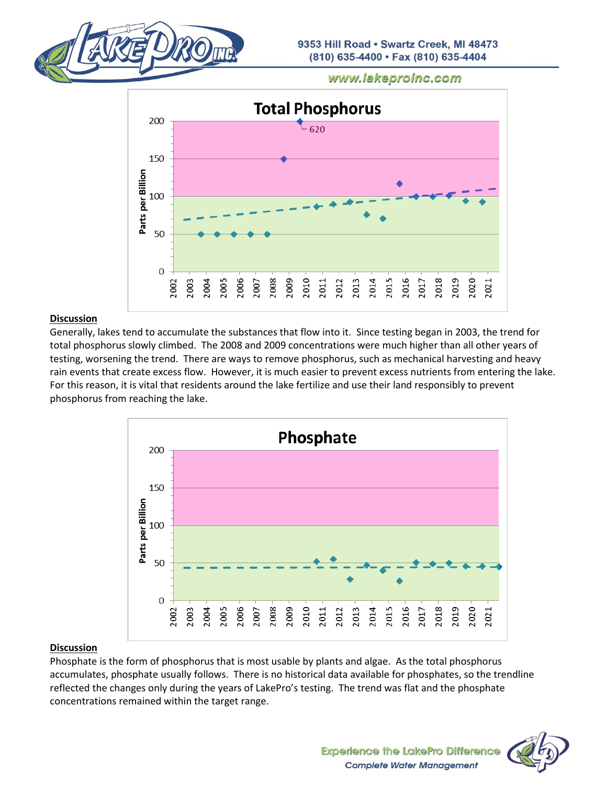



#### **Discussion**

Generally, lakes tend to accumulate the substances that flow into it. Since testing began in 2003, the trend for total phosphorus slowly climbed. The 2008 and 2009 concentrations were much higher than all other years of testing, worsening the trend. There are ways to remove phosphorus, such as mechanical harvesting and heavy rain events that create excess flow. However, it is much easier to prevent excess nutrients from entering the lake. For this reason, it is vital that residents around the lake fertilize and use their land responsibly to prevent phosphorus from reaching the lake.



#### **Discussion**

Phosphate is the form of phosphorus that is most usable by plants and algae. As the total phosphorus accumulates, phosphate usually follows. There is no historical data available for phosphates, so the trendline reflected the changes only during the years of LakePro's testing. The trend was flat and the phosphate concentrations remained within the target range.

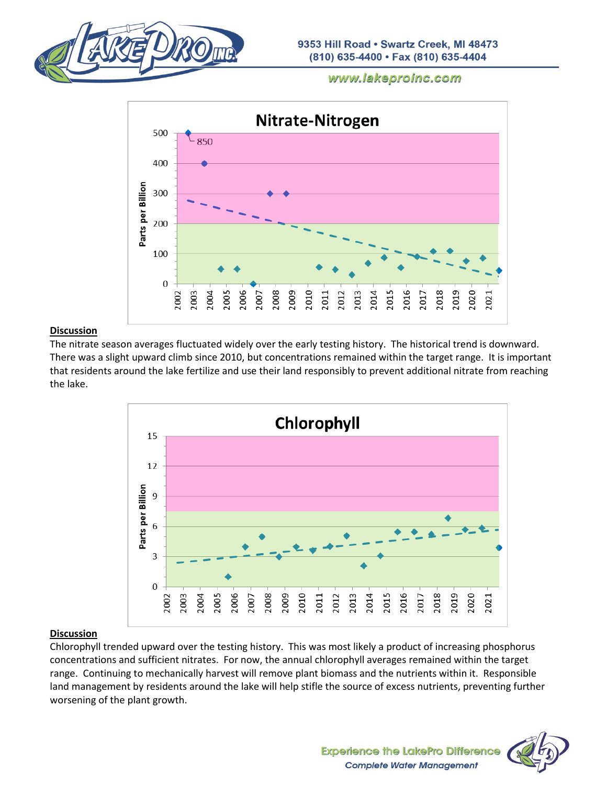



# **Discussion**

The nitrate season averages fluctuated widely over the early testing history. The historical trend is downward. There was a slight upward climb since 2010, but concentrations remained within the target range. It is important that residents around the lake fertilize and use their land responsibly to prevent additional nitrate from reaching the lake.



#### **Discussion**

Chlorophyll trended upward over the testing history. This was most likely a product of increasing phosphorus concentrations and sufficient nitrates. For now, the annual chlorophyll averages remained within the target range. Continuing to mechanically harvest will remove plant biomass and the nutrients within it. Responsible land management by residents around the lake will help stifle the source of excess nutrients, preventing further worsening of the plant growth.

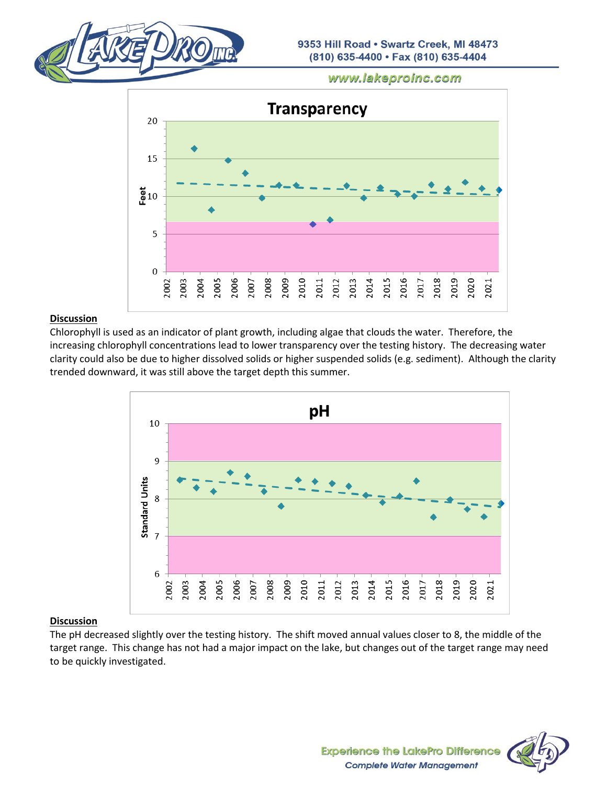



#### **Discussion**

Chlorophyll is used as an indicator of plant growth, including algae that clouds the water. Therefore, the increasing chlorophyll concentrations lead to lower transparency over the testing history. The decreasing water clarity could also be due to higher dissolved solids or higher suspended solids (e.g. sediment). Although the clarity trended downward, it was still above the target depth this summer.



# **Discussion**

The pH decreased slightly over the testing history. The shift moved annual values closer to 8, the middle of the target range. This change has not had a major impact on the lake, but changes out of the target range may need to be quickly investigated.

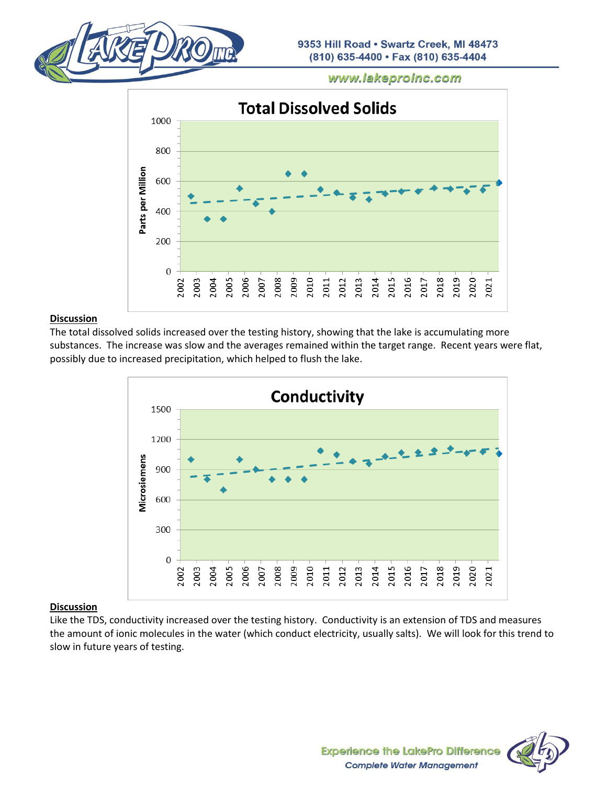



#### **Discussion**

The total dissolved solids increased over the testing history, showing that the lake is accumulating more substances. The increase was slow and the averages remained within the target range. Recent years were flat, possibly due to increased precipitation, which helped to flush the lake.



# **Discussion**

Like the TDS, conductivity increased over the testing history. Conductivity is an extension of TDS and measures the amount of ionic molecules in the water (which conduct electricity, usually salts). We will look for this trend to slow in future years of testing.

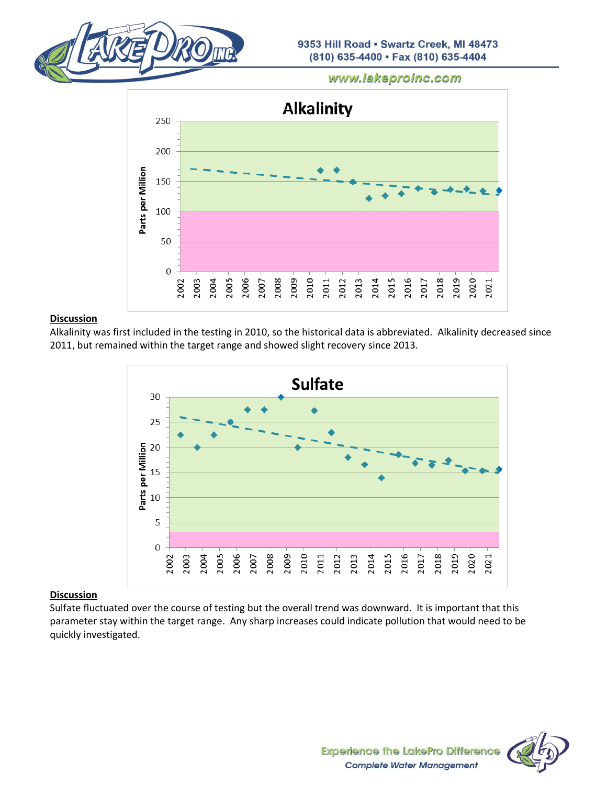



#### **Discussion**

Alkalinity was first included in the testing in 2010, so the historical data is abbreviated. Alkalinity decreased since 2011, but remained within the target range and showed slight recovery since 2013.



# **Discussion**

Sulfate fluctuated over the course of testing but the overall trend was downward. It is important that this parameter stay within the target range. Any sharp increases could indicate pollution that would need to be quickly investigated.

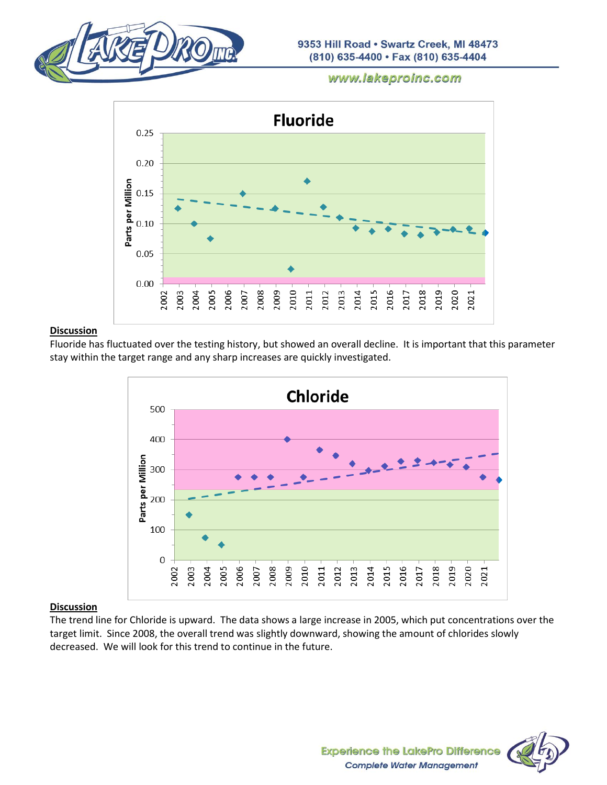



#### **Discussion**

Fluoride has fluctuated over the testing history, but showed an overall decline. It is important that this parameter stay within the target range and any sharp increases are quickly investigated.



# **Discussion**

The trend line for Chloride is upward. The data shows a large increase in 2005, which put concentrations over the target limit. Since 2008, the overall trend was slightly downward, showing the amount of chlorides slowly decreased. We will look for this trend to continue in the future.

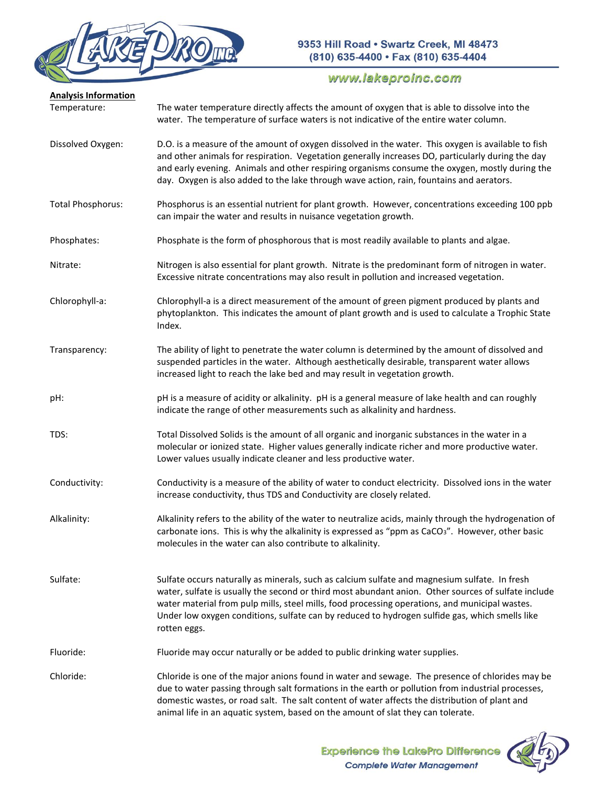

| <b>Analysis Information</b><br>Temperature: | The water temperature directly affects the amount of oxygen that is able to dissolve into the<br>water. The temperature of surface waters is not indicative of the entire water column.                                                                                                                                                                                                                                  |
|---------------------------------------------|--------------------------------------------------------------------------------------------------------------------------------------------------------------------------------------------------------------------------------------------------------------------------------------------------------------------------------------------------------------------------------------------------------------------------|
| Dissolved Oxygen:                           | D.O. is a measure of the amount of oxygen dissolved in the water. This oxygen is available to fish<br>and other animals for respiration. Vegetation generally increases DO, particularly during the day<br>and early evening. Animals and other respiring organisms consume the oxygen, mostly during the<br>day. Oxygen is also added to the lake through wave action, rain, fountains and aerators.                    |
| <b>Total Phosphorus:</b>                    | Phosphorus is an essential nutrient for plant growth. However, concentrations exceeding 100 ppb<br>can impair the water and results in nuisance vegetation growth.                                                                                                                                                                                                                                                       |
| Phosphates:                                 | Phosphate is the form of phosphorous that is most readily available to plants and algae.                                                                                                                                                                                                                                                                                                                                 |
| Nitrate:                                    | Nitrogen is also essential for plant growth. Nitrate is the predominant form of nitrogen in water.<br>Excessive nitrate concentrations may also result in pollution and increased vegetation.                                                                                                                                                                                                                            |
| Chlorophyll-a:                              | Chlorophyll-a is a direct measurement of the amount of green pigment produced by plants and<br>phytoplankton. This indicates the amount of plant growth and is used to calculate a Trophic State<br>Index.                                                                                                                                                                                                               |
| Transparency:                               | The ability of light to penetrate the water column is determined by the amount of dissolved and<br>suspended particles in the water. Although aesthetically desirable, transparent water allows<br>increased light to reach the lake bed and may result in vegetation growth.                                                                                                                                            |
| pH:                                         | pH is a measure of acidity or alkalinity. pH is a general measure of lake health and can roughly<br>indicate the range of other measurements such as alkalinity and hardness.                                                                                                                                                                                                                                            |
| TDS:                                        | Total Dissolved Solids is the amount of all organic and inorganic substances in the water in a<br>molecular or ionized state. Higher values generally indicate richer and more productive water.<br>Lower values usually indicate cleaner and less productive water.                                                                                                                                                     |
| Conductivity:                               | Conductivity is a measure of the ability of water to conduct electricity. Dissolved ions in the water<br>increase conductivity, thus TDS and Conductivity are closely related.                                                                                                                                                                                                                                           |
| Alkalinity:                                 | Alkalinity refers to the ability of the water to neutralize acids, mainly through the hydrogenation of<br>carbonate ions. This is why the alkalinity is expressed as "ppm as CaCO <sub>3</sub> ". However, other basic<br>molecules in the water can also contribute to alkalinity.                                                                                                                                      |
| Sulfate:                                    | Sulfate occurs naturally as minerals, such as calcium sulfate and magnesium sulfate. In fresh<br>water, sulfate is usually the second or third most abundant anion. Other sources of sulfate include<br>water material from pulp mills, steel mills, food processing operations, and municipal wastes.<br>Under low oxygen conditions, sulfate can by reduced to hydrogen sulfide gas, which smells like<br>rotten eggs. |
| Fluoride:                                   | Fluoride may occur naturally or be added to public drinking water supplies.                                                                                                                                                                                                                                                                                                                                              |
| Chloride:                                   | Chloride is one of the major anions found in water and sewage. The presence of chlorides may be<br>due to water passing through salt formations in the earth or pollution from industrial processes,<br>domestic wastes, or road salt. The salt content of water affects the distribution of plant and<br>animal life in an aquatic system, based on the amount of slat they can tolerate.                               |